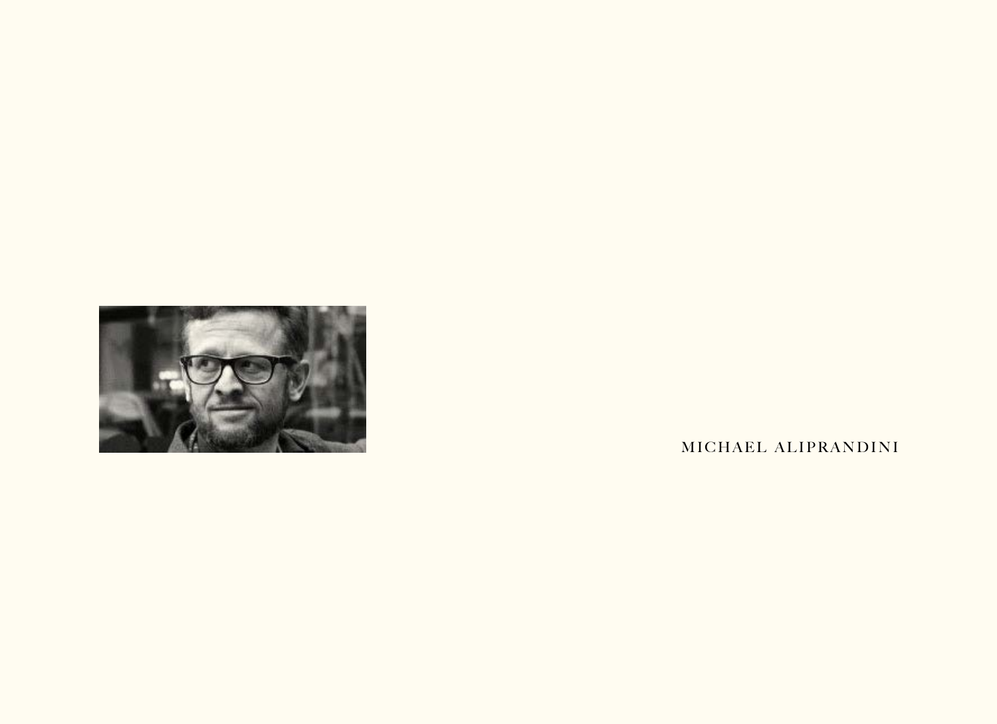

M I CHAEL ALIPRANDINI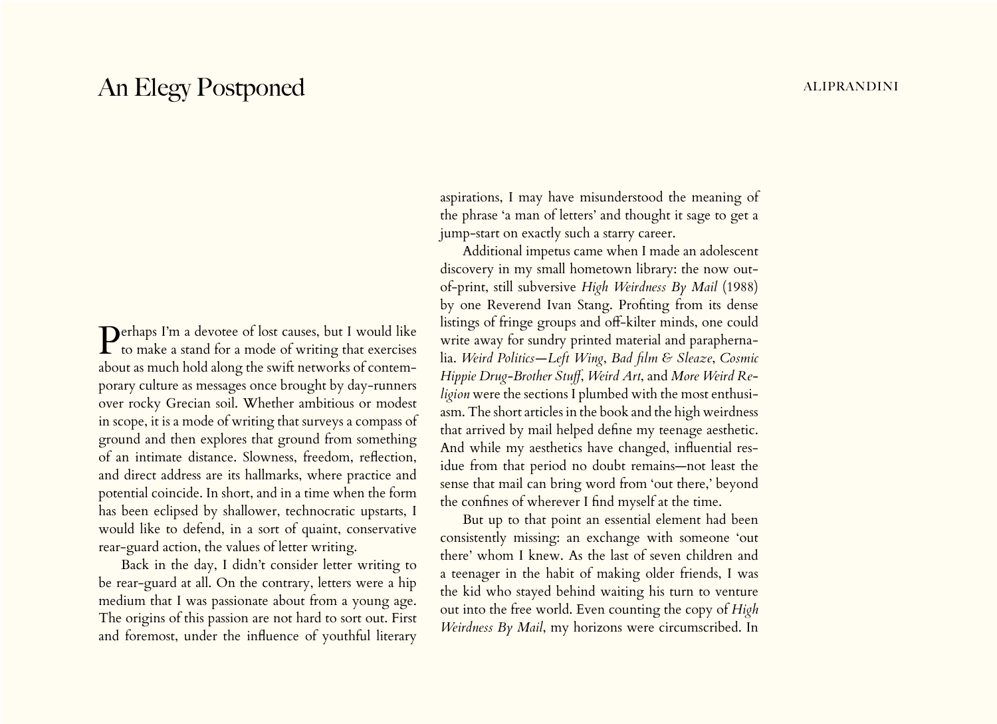# An Elegy Postponed aliprandini and the set of the set of the set of the set of the set of the set of the set of the set of the set of the set of the set of the set of the set of the set of the set of the set of the set of

Perhaps I'm a devotee of lost causes, but I would like  $\Gamma$  to make a stand for a mode of writing that exercises about as much hold along the swift networks of contemporary culture as messages once brought by day-runners over rocky Grecian soil. Whether ambitious or modest in scope, it is a mode of writing that surveys a compass of ground and then explores that ground from something of an intimate distance. Slowness, freedom, reflection, and direct address are its hallmarks, where practice and potential coincide. In short, and in a time when the form has been eclipsed by shallower, technocratic upstarts, I would like to defend, in a sort of quaint, conservative rear-guard action, the values of letter writing.

Back in the day, I didn't consider letter writing to be rear-guard at all. On the contrary, letters were a hip medium that I was passionate about from a young age. The origins of this passion are not hard to sort out. First and foremost, under the influence of youthful literary

aspirations, I may have misunderstood the meaning of the phrase 'a man of letters' and thought it sage to get a jump-start on exactly such a starry career.

Additional impetus came when I made an adolescent discovery in my small hometown library: the now outof-print, still subversive *High Weirdness By Mail* (1988) by one Reverend Ivan Stang. Profiting from its dense listings of fringe groups and off-kilter minds, one could write away for sundry printed material and paraphernalia. *Weird Politics—Left Wing*, *Bad film & Sleaze*, *Cosmic Hippie Drug-Brother Stuff*, *Weird Art*, and *More Weird Religion* were the sections I plumbed with the most enthusiasm. The short articles in the book and the high weirdness that arrived by mail helped define my teenage aesthetic. And while my aesthetics have changed, influential residue from that period no doubt remains—not least the sense that mail can bring word from 'out there,' beyond the confines of wherever I find myself at the time.

But up to that point an essential element had been consistently missing: an exchange with someone 'out there' whom I knew. As the last of seven children and a teenager in the habit of making older friends, I was the kid who stayed behind waiting his turn to venture out into the free world. Even counting the copy of *High Weirdness By Mail*, my horizons were circumscribed. In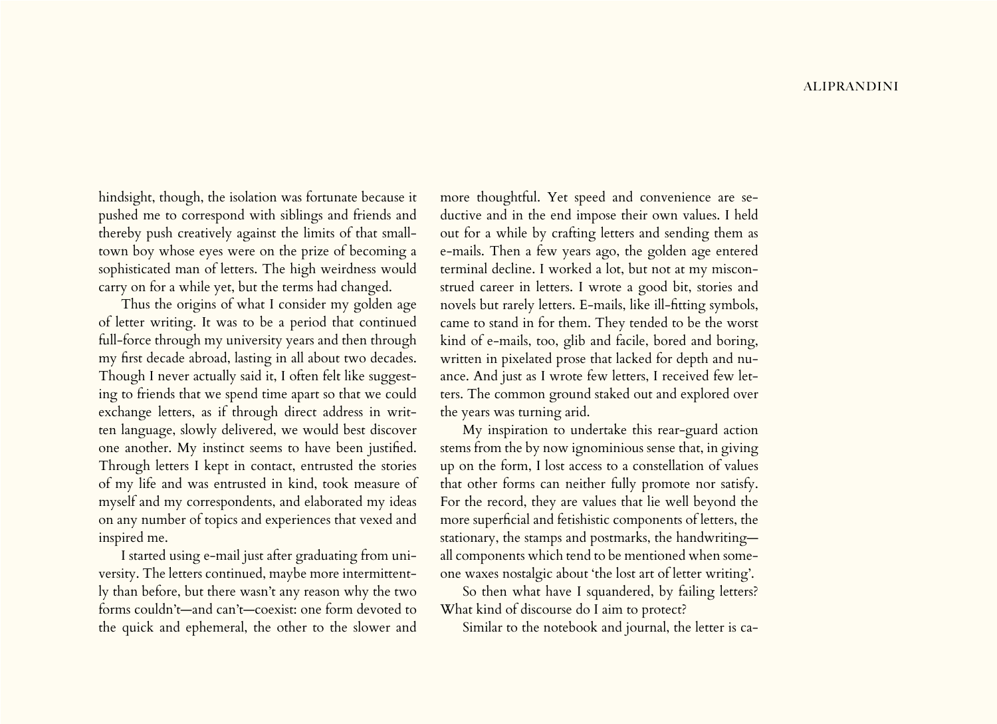hindsight, though, the isolation was fortunate because it pushed me to correspond with siblings and friends and thereby push creatively against the limits of that smalltown boy whose eyes were on the prize of becoming a sophisticated man of letters. The high weirdness would carry on for a while yet, but the terms had changed.

Thus the origins of what I consider my golden age of letter writing. It was to be a period that continued full-force through my university years and then through my first decade abroad, lasting in all about two decades. Though I never actually said it, I often felt like suggesting to friends that we spend time apart so that we could exchange letters, as if through direct address in written language, slowly delivered, we would best discover one another. My instinct seems to have been justified. Through letters I kept in contact, entrusted the stories of my life and was entrusted in kind, took measure of myself and my correspondents, and elaborated my ideas on any number of topics and experiences that vexed and inspired me.

I started using e-mail just after graduating from university. The letters continued, maybe more intermittently than before, but there wasn't any reason why the two forms couldn't—and can't—coexist: one form devoted to the quick and ephemeral, the other to the slower and more thoughtful. Yet speed and convenience are seductive and in the end impose their own values. I held out for a while by crafting letters and sending them as e-mails. Then a few years ago, the golden age entered terminal decline. I worked a lot, but not at my misconstrued career in letters. I wrote a good bit, stories and novels but rarely letters. E-mails, like ill-fitting symbols, came to stand in for them. They tended to be the worst kind of e-mails, too, glib and facile, bored and boring, written in pixelated prose that lacked for depth and nuance. And just as I wrote few letters, I received few letters. The common ground staked out and explored over the years was turning arid.

My inspiration to undertake this rear-guard action stems from the by now ignominious sense that, in giving up on the form, I lost access to a constellation of values that other forms can neither fully promote nor satisfy. For the record, they are values that lie well beyond the more superficial and fetishistic components of letters, the stationary, the stamps and postmarks, the handwriting all components which tend to be mentioned when someone waxes nostalgic about 'the lost art of letter writing'.

So then what have I squandered, by failing letters? What kind of discourse do I aim to protect?

Similar to the notebook and journal, the letter is ca-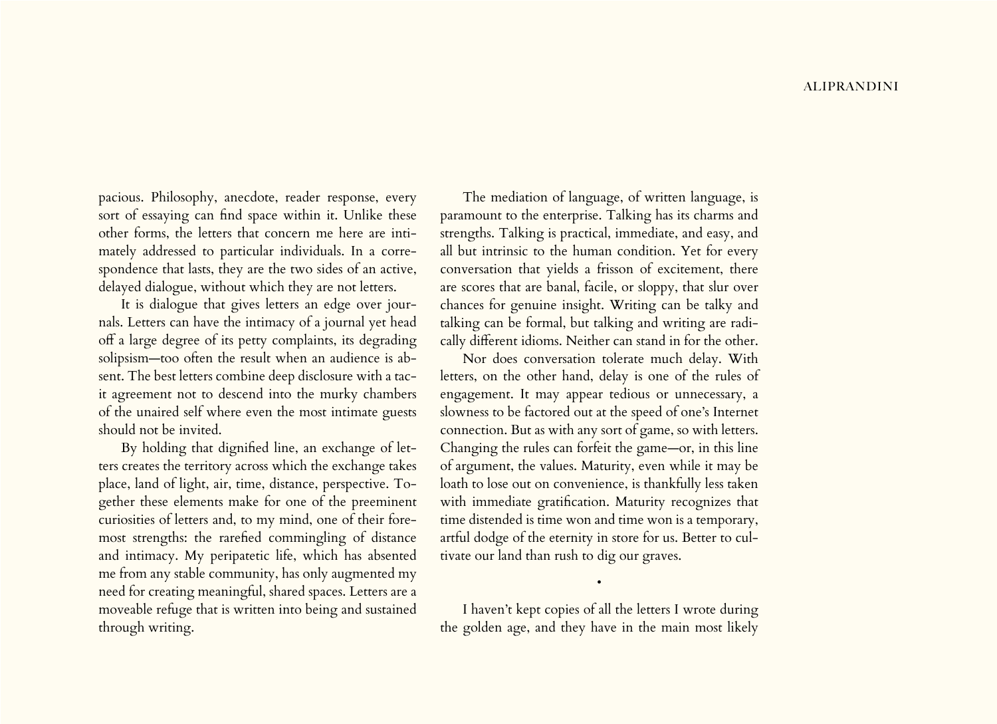pacious. Philosophy, anecdote, reader response, every sort of essaying can find space within it. Unlike these other forms, the letters that concern me here are intimately addressed to particular individuals. In a correspondence that lasts, they are the two sides of an active, delayed dialogue, without which they are not letters.

It is dialogue that gives letters an edge over journals. Letters can have the intimacy of a journal yet head off a large degree of its petty complaints, its degrading solipsism—too often the result when an audience is absent. The best letters combine deep disclosure with a tacit agreement not to descend into the murky chambers of the unaired self where even the most intimate guests should not be invited.

By holding that dignified line, an exchange of letters creates the territory across which the exchange takes place, land of light, air, time, distance, perspective. Together these elements make for one of the preeminent curiosities of letters and, to my mind, one of their foremost strengths: the rarefied commingling of distance and intimacy. My peripatetic life, which has absented me from any stable community, has only augmented my need for creating meaningful, shared spaces. Letters are a moveable refuge that is written into being and sustained through writing.

The mediation of language, of written language, is paramount to the enterprise. Talking has its charms and strengths. Talking is practical, immediate, and easy, and all but intrinsic to the human condition. Yet for every conversation that yields a frisson of excitement, there are scores that are banal, facile, or sloppy, that slur over chances for genuine insight. Writing can be talky and talking can be formal, but talking and writing are radically different idioms. Neither can stand in for the other.

Nor does conversation tolerate much delay. With letters, on the other hand, delay is one of the rules of engagement. It may appear tedious or unnecessary, a slowness to be factored out at the speed of one's Internet connection. But as with any sort of game, so with letters. Changing the rules can forfeit the game—or, in this line of argument, the values. Maturity, even while it may be loath to lose out on convenience, is thankfully less taken with immediate gratification. Maturity recognizes that time distended is time won and time won is a temporary, artful dodge of the eternity in store for us. Better to cultivate our land than rush to dig our graves.

I haven't kept copies of all the letters I wrote during the golden age, and they have in the main most likely

•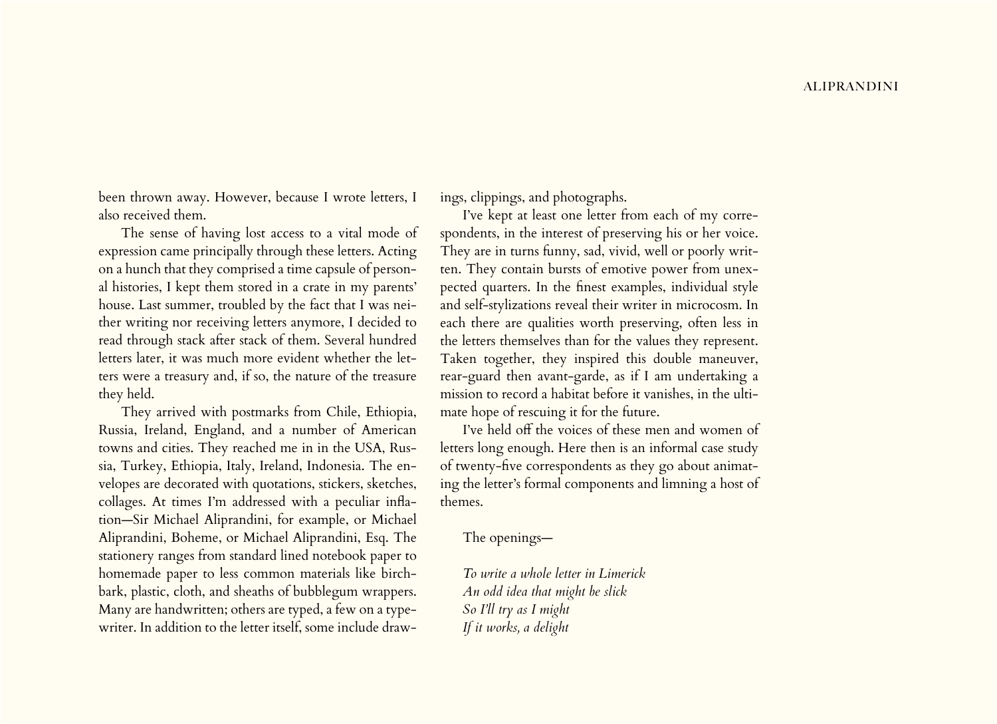been thrown away. However, because I wrote letters, I also received them.

The sense of having lost access to a vital mode of expression came principally through these letters. Acting on a hunch that they comprised a time capsule of personal histories, I kept them stored in a crate in my parents' house. Last summer, troubled by the fact that I was neither writing nor receiving letters anymore, I decided to read through stack after stack of them. Several hundred letters later, it was much more evident whether the letters were a treasury and, if so, the nature of the treasure they held.

They arrived with postmarks from Chile, Ethiopia, Russia, Ireland, England, and a number of American towns and cities. They reached me in in the USA, Russia, Turkey, Ethiopia, Italy, Ireland, Indonesia. The envelopes are decorated with quotations, stickers, sketches, collages. At times I'm addressed with a peculiar inflation—Sir Michael Aliprandini, for example, or Michael Aliprandini, Boheme, or Michael Aliprandini, Esq. The stationery ranges from standard lined notebook paper to homemade paper to less common materials like birchbark, plastic, cloth, and sheaths of bubblegum wrappers. Many are handwritten; others are typed, a few on a typewriter. In addition to the letter itself, some include drawings, clippings, and photographs.

I've kept at least one letter from each of my correspondents, in the interest of preserving his or her voice. They are in turns funny, sad, vivid, well or poorly written. They contain bursts of emotive power from unexpected quarters. In the finest examples, individual style and self-stylizations reveal their writer in microcosm. In each there are qualities worth preserving, often less in the letters themselves than for the values they represent. Taken together, they inspired this double maneuver, rear-guard then avant-garde, as if I am undertaking a mission to record a habitat before it vanishes, in the ultimate hope of rescuing it for the future.

I've held off the voices of these men and women of letters long enough. Here then is an informal case study of twenty-five correspondents as they go about animating the letter's formal components and limning a host of themes.

The openings—

*To write a whole letter in Limerick An odd idea that might be slick So I'll try as I might If it works, a delight*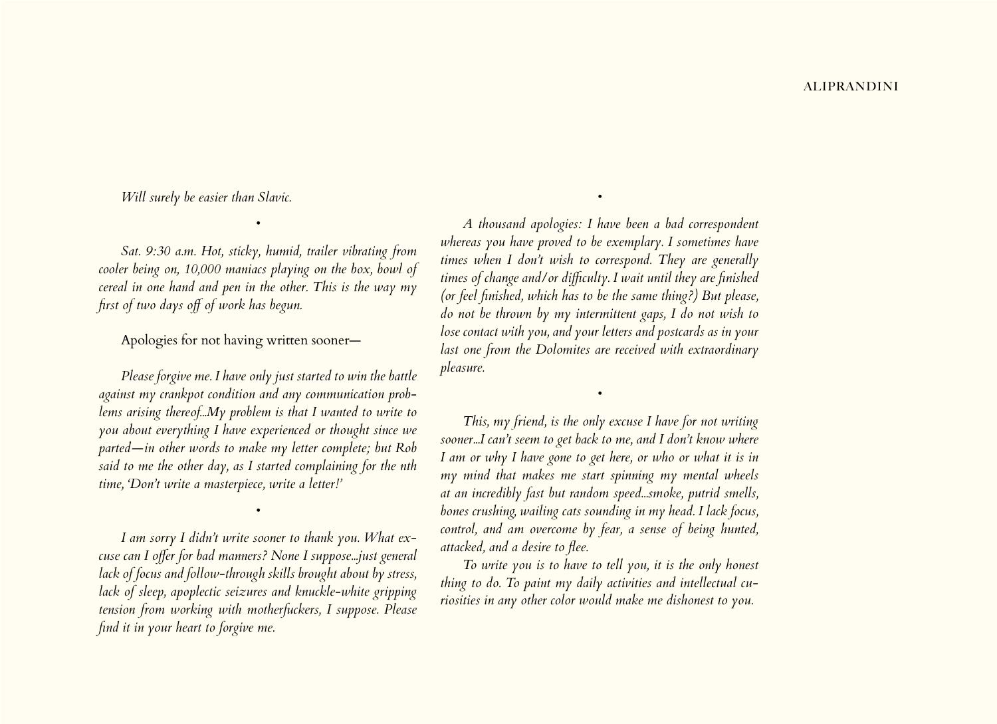*Will surely be easier than Slavic.*

*Sat. 9:30 a.m. Hot, sticky, humid, trailer vibrating from cooler being on, 10,000 maniacs playing on the box, bowl of cereal in one hand and pen in the other. This is the way my first of two days off of work has begun.*

*•*

# Apologies for not having written sooner—

*Please forgive me. I have only just started to win the battle against my crankpot condition and any communication problems arising thereof...My problem is that I wanted to write to you about everything I have experienced or thought since we parted—in other words to make my letter complete; but Rob said to me the other day, as I started complaining for the nth time, 'Don't write a masterpiece, write a letter!'*

*I am sorry I didn't write sooner to thank you. What excuse can I offer for bad manners? None I suppose...just general lack of focus and follow-through skills brought about by stress, lack of sleep, apoplectic seizures and knuckle-white gripping tension from working with motherfuckers, I suppose. Please find it in your heart to forgive me.*

*•*

*A thousand apologies: I have been a bad correspondent whereas you have proved to be exemplary. I sometimes have times when I don't wish to correspond. They are generally times of change and/or difficulty. I wait until they are finished (or feel finished, which has to be the same thing?) But please, do not be thrown by my intermittent gaps, I do not wish to lose contact with you, and your letters and postcards as in your last one from the Dolomites are received with extraordinary pleasure.*

*•*

*This, my friend, is the only excuse I have for not writing sooner...I can't seem to get back to me, and I don't know where I am or why I have gone to get here, or who or what it is in my mind that makes me start spinning my mental wheels at an incredibly fast but random speed...smoke, putrid smells, bones crushing, wailing cats sounding in my head. I lack focus, control, and am overcome by fear, a sense of being hunted, attacked, and a desire to flee.*

*•*

*To write you is to have to tell you, it is the only honest thing to do. To paint my daily activities and intellectual curiosities in any other color would make me dishonest to you.*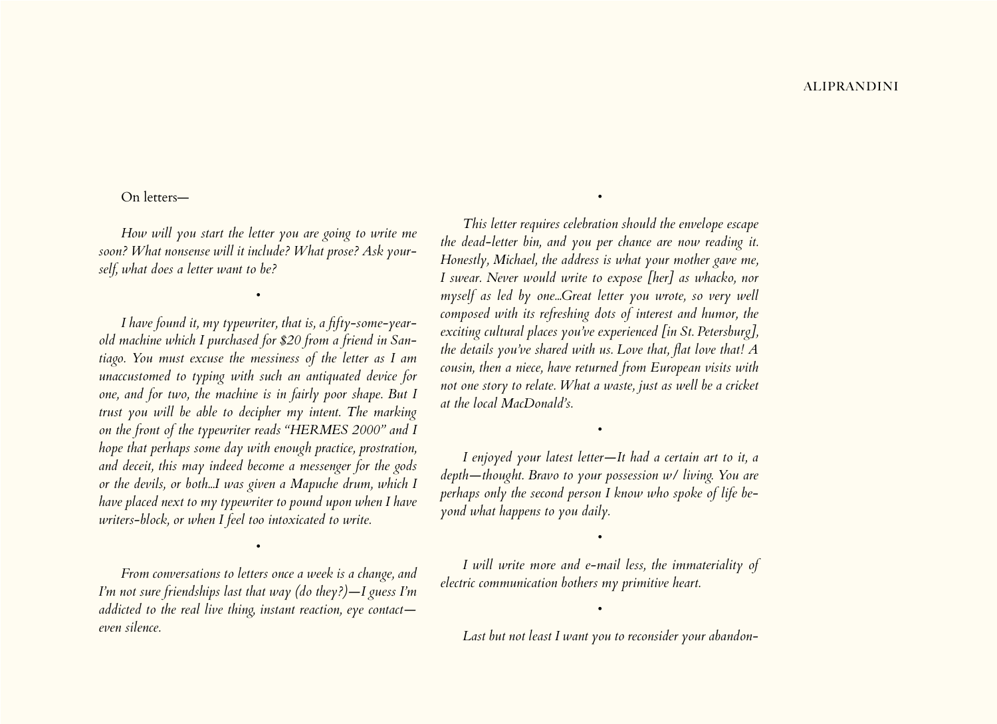### On letters—

*How will you start the letter you are going to write me soon? What nonsense will it include? What prose? Ask yourself, what does a letter want to be?*

*•*

*I have found it, my typewriter, that is, a fifty-some-yearold machine which I purchased for \$20 from a friend in Santiago. You must excuse the messiness of the letter as I am unaccustomed to typing with such an antiquated device for one, and for two, the machine is in fairly poor shape. But I trust you will be able to decipher my intent. The marking on the front of the typewriter reads "HERMES 2000" and I hope that perhaps some day with enough practice, prostration, and deceit, this may indeed become a messenger for the gods or the devils, or both...I was given a Mapuche drum, which I have placed next to my typewriter to pound upon when I have writers-block, or when I feel too intoxicated to write.*

*From conversations to letters once a week is a change, and I'm not sure friendships last that way (do they?)—I guess I'm addicted to the real live thing, instant reaction, eye contact even silence.*

*•*

*This letter requires celebration should the envelope escape the dead-letter bin, and you per chance are now reading it. Honestly, Michael, the address is what your mother gave me, I swear. Never would write to expose [her] as whacko, nor myself as led by one...Great letter you wrote, so very well composed with its refreshing dots of interest and humor, the exciting cultural places you've experienced [in St. Petersburg], the details you've shared with us. Love that, flat love that! A cousin, then a niece, have returned from European visits with not one story to relate. What a waste, just as well be a cricket at the local MacDonald's.*

*•*

*I enjoyed your latest letter—It had a certain art to it, a depth—thought. Bravo to your possession w/ living. You are perhaps only the second person I know who spoke of life beyond what happens to you daily.*

*•*

*I will write more and e-mail less, the immateriality of electric communication bothers my primitive heart.* 

*•*

*•*

*Last but not least I want you to reconsider your abandon-*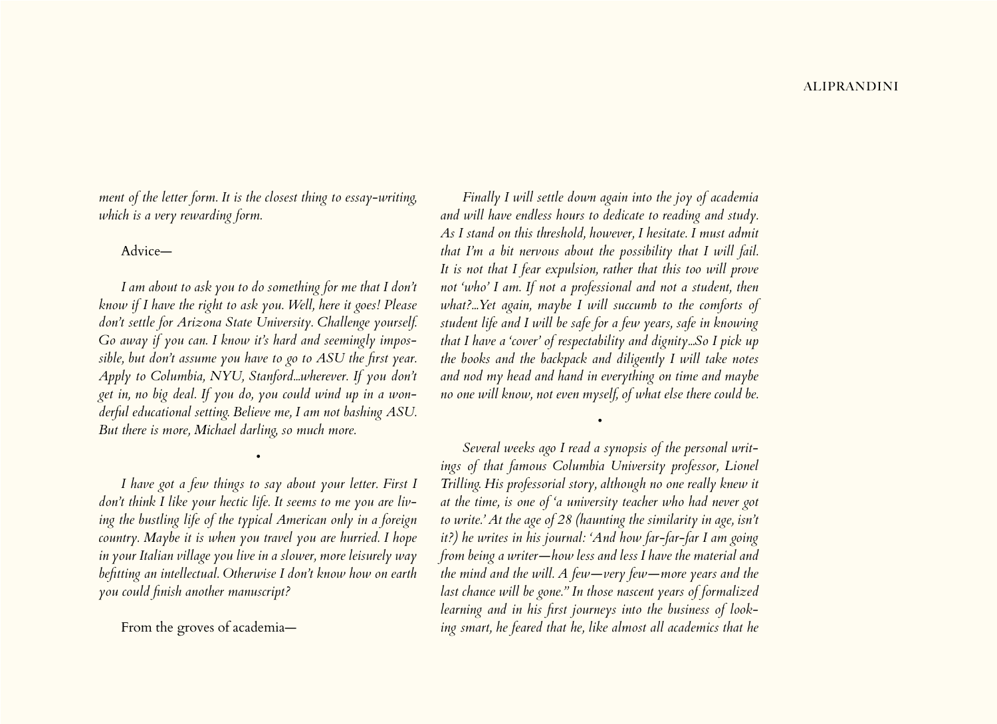*ment of the letter form. It is the closest thing to essay-writing, which is a very rewarding form.*

# Advice—

*I am about to ask you to do something for me that I don't know if I have the right to ask you. Well, here it goes! Please don't settle for Arizona State University. Challenge yourself. Go away if you can. I know it's hard and seemingly impossible, but don't assume you have to go to ASU the first year. Apply to Columbia, NYU, Stanford...wherever. If you don't get in, no big deal. If you do, you could wind up in a wonderful educational setting. Believe me, I am not bashing ASU. But there is more, Michael darling, so much more.*

*I have got a few things to say about your letter. First I don't think I like your hectic life. It seems to me you are living the bustling life of the typical American only in a foreign country. Maybe it is when you travel you are hurried. I hope in your Italian village you live in a slower, more leisurely way befitting an intellectual. Otherwise I don't know how on earth you could finish another manuscript?*

*•*

From the groves of academia—

*Finally I will settle down again into the joy of academia and will have endless hours to dedicate to reading and study. As I stand on this threshold, however, I hesitate. I must admit that I'm a bit nervous about the possibility that I will fail. It is not that I fear expulsion, rather that this too will prove not 'who' I am. If not a professional and not a student, then what?...Yet again, maybe I will succumb to the comforts of student life and I will be safe for a few years, safe in knowing that I have a 'cover' of respectability and dignity...So I pick up the books and the backpack and diligently I will take notes and nod my head and hand in everything on time and maybe no one will know, not even myself, of what else there could be.*

*Several weeks ago I read a synopsis of the personal writings of that famous Columbia University professor, Lionel Trilling. His professorial story, although no one really knew it at the time, is one of 'a university teacher who had never got to write.' At the age of 28 (haunting the similarity in age, isn't it?) he writes in his journal: 'And how far-far-far I am going from being a writer—how less and less I have the material and the mind and the will. A few—very few—more years and the last chance will be gone." In those nascent years of formalized learning and in his first journeys into the business of looking smart, he feared that he, like almost all academics that he* 

*•*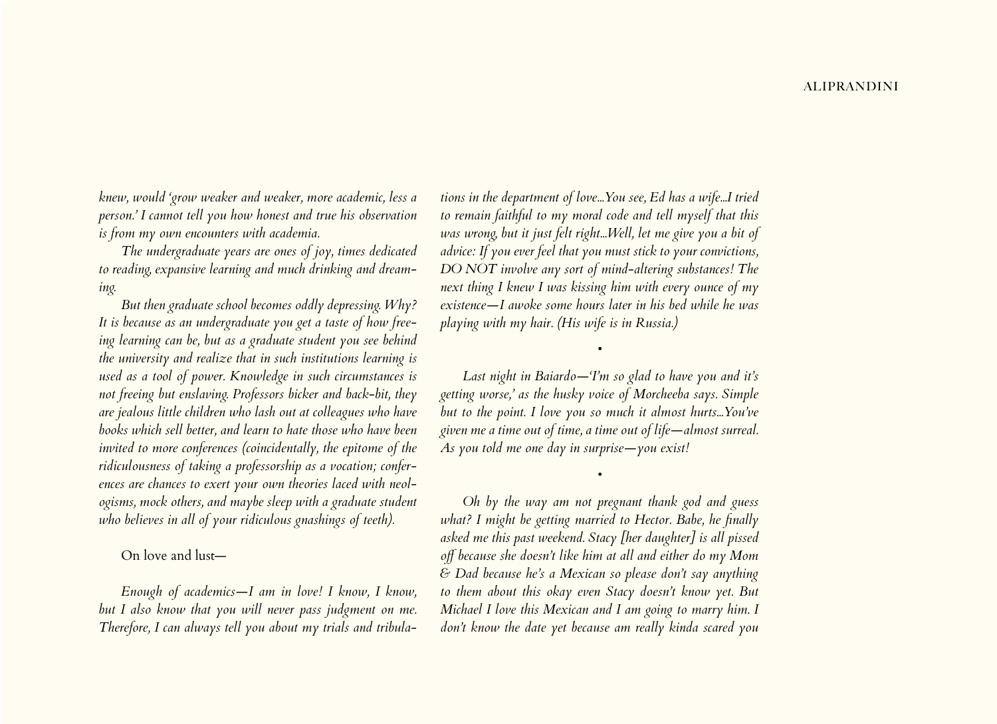*knew, would 'grow weaker and weaker, more academic, less a person.' I cannot tell you how honest and true his observation is from my own encounters with academia.* 

*The undergraduate years are ones of joy, times dedicated to reading, expansive learning and much drinking and dreaming.* 

*But then graduate school becomes oddly depressing. Why? It is because as an undergraduate you get a taste of how freeing learning can be, but as a graduate student you see behind the university and realize that in such institutions learning is used as a tool of power. Knowledge in such circumstances is not freeing but enslaving. Professors bicker and back-bit, they are jealous little children who lash out at colleagues who have books which sell better, and learn to hate those who have been invited to more conferences (coincidentally, the epitome of the ridiculousness of taking a professorship as a vocation; conferences are chances to exert your own theories laced with neologisms, mock others, and maybe sleep with a graduate student who believes in all of your ridiculous gnashings of teeth).*

On love and lust—

*Enough of academics—I am in love! I know, I know, but I also know that you will never pass judgment on me. Therefore, I can always tell you about my trials and tribula-* *tions in the department of love...You see, Ed has a wife...I tried to remain faithful to my moral code and tell myself that this was wrong, but it just felt right...Well, let me give you a bit of advice: If you ever feel that you must stick to your convictions, DO NOT involve any sort of mind-altering substances! The next thing I knew I was kissing him with every ounce of my existence—I awoke some hours later in his bed while he was playing with my hair. (His wife is in Russia.)*

*Last night in Baiardo—'I'm so glad to have you and it's getting worse,' as the husky voice of Morcheeba says. Simple but to the point. I love you so much it almost hurts...You've given me a time out of time, a time out of life—almost surreal. As you told me one day in surprise—you exist!*

*•*

*•*

*Oh by the way am not pregnant thank god and guess what? I might be getting married to Hector. Babe, he finally asked me this past weekend. Stacy [her daughter] is all pissed off because she doesn't like him at all and either do my Mom & Dad because he's a Mexican so please don't say anything to them about this okay even Stacy doesn't know yet. But Michael I love this Mexican and I am going to marry him. I don't know the date yet because am really kinda scared you*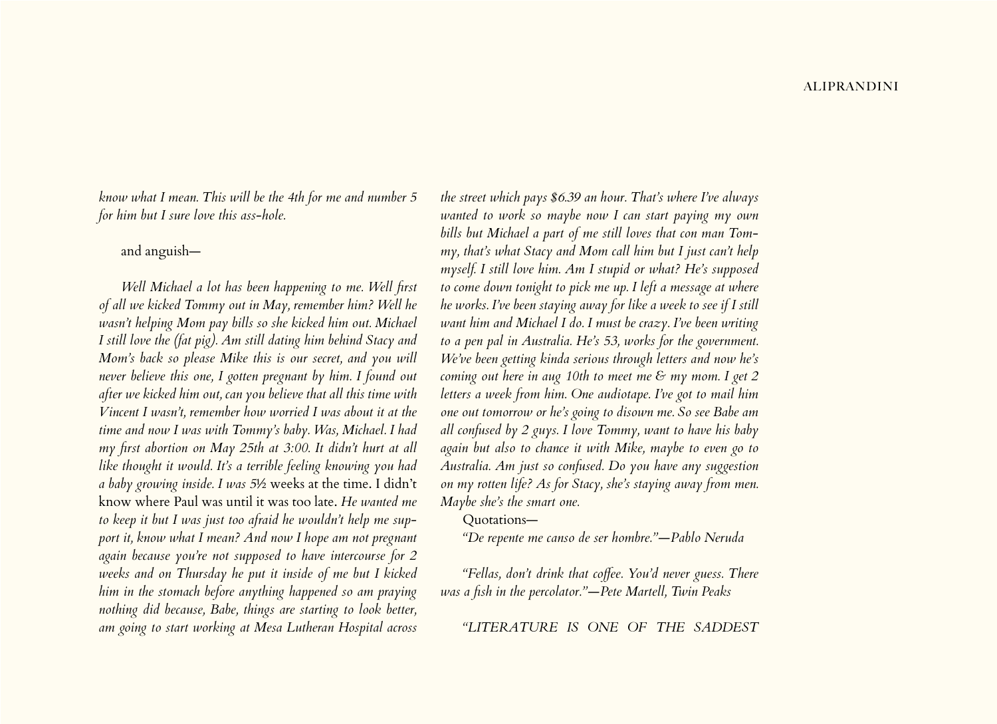*know what I mean. This will be the 4th for me and number 5 for him but I sure love this ass-hole.*

# and anguish—

*Well Michael a lot has been happening to me. Well first of all we kicked Tommy out in May, remember him? Well he wasn't helping Mom pay bills so she kicked him out. Michael I still love the (fat pig). Am still dating him behind Stacy and Mom's back so please Mike this is our secret, and you will never believe this one, I gotten pregnant by him. I found out after we kicked him out, can you believe that all this time with Vincent I wasn't, remember how worried I was about it at the time and now I was with Tommy's baby. Was, Michael. I had my first abortion on May 25th at 3:00. It didn't hurt at all like thought it would. It's a terrible feeling knowing you had a baby growing inside. I was 5*½ weeks at the time. I didn't know where Paul was until it was too late. *He wanted me to keep it but I was just too afraid he wouldn't help me support it, know what I mean? And now I hope am not pregnant again because you're not supposed to have intercourse for 2 weeks and on Thursday he put it inside of me but I kicked him in the stomach before anything happened so am praying nothing did because, Babe, things are starting to look better, am going to start working at Mesa Lutheran Hospital across* 

*the street which pays \$6.39 an hour. That's where I've always wanted to work so maybe now I can start paying my own bills but Michael a part of me still loves that con man Tommy, that's what Stacy and Mom call him but I just can't help myself. I still love him. Am I stupid or what? He's supposed to come down tonight to pick me up. I left a message at where he works. I've been staying away for like a week to see if I still want him and Michael I do. I must be crazy. I've been writing to a pen pal in Australia. He's 53, works for the government. We've been getting kinda serious through letters and now he's coming out here in aug 10th to meet me & my mom. I get 2 letters a week from him. One audiotape. I've got to mail him one out tomorrow or he's going to disown me. So see Babe am all confused by 2 guys. I love Tommy, want to have his baby again but also to chance it with Mike, maybe to even go to Australia. Am just so confused. Do you have any suggestion on my rotten life? As for Stacy, she's staying away from men. Maybe she's the smart one.*

Quotations—

*"De repente me canso de ser hombre."—Pablo Neruda*

*"Fellas, don't drink that coffee. You'd never guess. There was a fish in the percolator."—Pete Martell, Twin Peaks*

*"LITERATURE IS ONE OF THE SADDEST*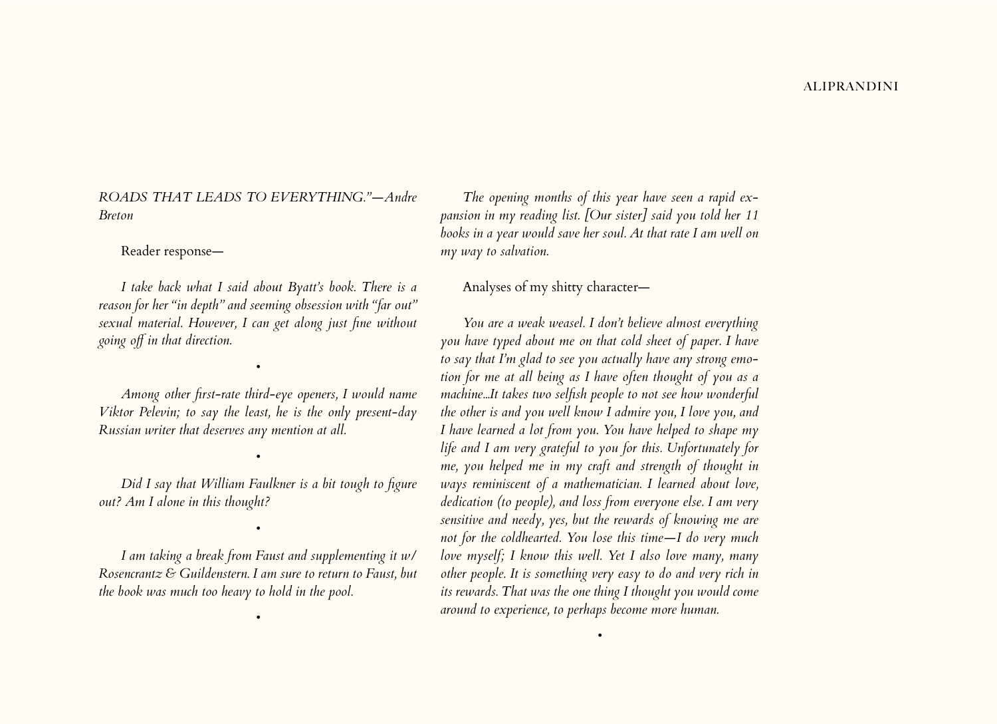*ROADS THAT LEADS TO EVERYTHING."—Andre Breton*

#### Reader response—

*I take back what I said about Byatt's book. There is a reason for her "in depth" and seeming obsession with "far out" sexual material. However, I can get along just fine without going off in that direction.* 

*Among other first-rate third-eye openers, I would name Viktor Pelevin; to say the least, he is the only present-day Russian writer that deserves any mention at all.*

*•*

*Did I say that William Faulkner is a bit tough to figure out? Am I alone in this thought?*

*•*

*I am taking a break from Faust and supplementing it w/ Rosencrantz & Guildenstern. I am sure to return to Faust, but the book was much too heavy to hold in the pool.*

*•*

*•*

*The opening months of this year have seen a rapid expansion in my reading list. [Our sister] said you told her 11 books in a year would save her soul. At that rate I am well on my way to salvation.*

# Analyses of my shitty character—

*You are a weak weasel. I don't believe almost everything you have typed about me on that cold sheet of paper. I have to say that I'm glad to see you actually have any strong emotion for me at all being as I have often thought of you as a machine...It takes two selfish people to not see how wonderful the other is and you well know I admire you, I love you, and I have learned a lot from you. You have helped to shape my life and I am very grateful to you for this. Unfortunately for me, you helped me in my craft and strength of thought in ways reminiscent of a mathematician. I learned about love, dedication (to people), and loss from everyone else. I am very sensitive and needy, yes, but the rewards of knowing me are not for the coldhearted. You lose this time—I do very much love myself; I know this well. Yet I also love many, many other people. It is something very easy to do and very rich in its rewards. That was the one thing I thought you would come around to experience, to perhaps become more human.*

*•*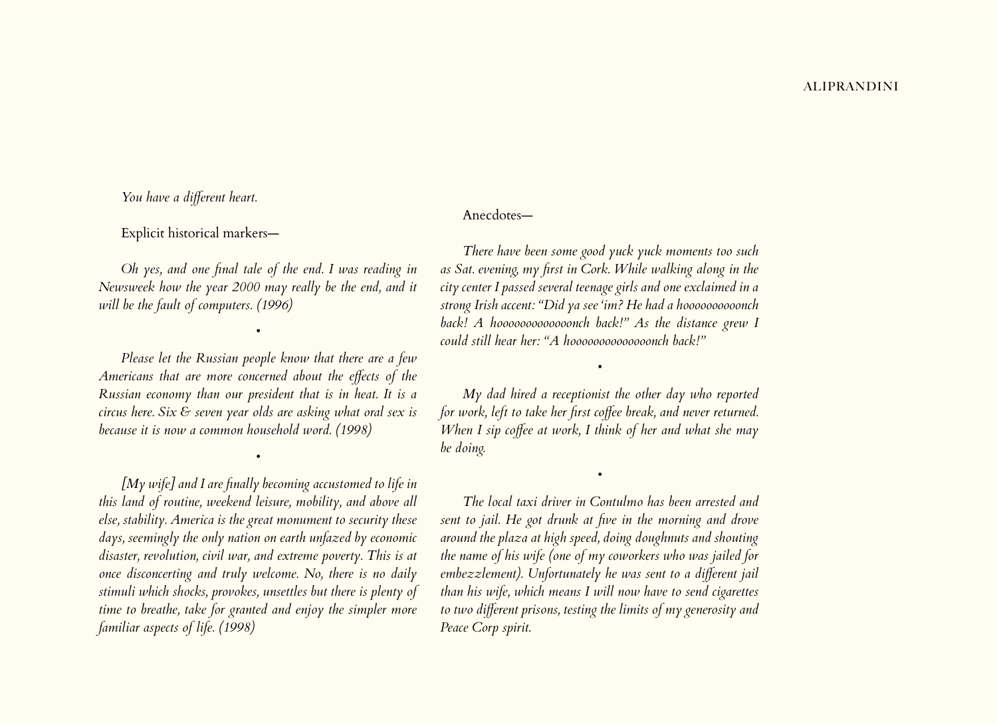*You have a different heart.*

Explicit historical markers—

*Oh yes, and one final tale of the end. I was reading in Newsweek how the year 2000 may really be the end, and it will be the fault of computers. (1996)*

*•*

*Please let the Russian people know that there are a few Americans that are more concerned about the effects of the Russian economy than our president that is in heat. It is a circus here. Six & seven year olds are asking what oral sex is because it is now a common household word. (1998)*

*•*

*[My wife] and I are finally becoming accustomed to life in this land of routine, weekend leisure, mobility, and above all else, stability. America is the great monument to security these days, seemingly the only nation on earth unfazed by economic disaster, revolution, civil war, and extreme poverty. This is at once disconcerting and truly welcome. No, there is no daily stimuli which shocks, provokes, unsettles but there is plenty of time to breathe, take for granted and enjoy the simpler more familiar aspects of life. (1998)*

# Anecdotes—

*There have been some good yuck yuck moments too such as Sat. evening, my first in Cork. While walking along in the city center I passed several teenage girls and one exclaimed in a strong Irish accent: "Did ya see 'im? He had a hoooooooooonch back! A hooooooooooooonch back!" As the distance grew I could still hear her: "A hoooooooooooooonch back!"*

*My dad hired a receptionist the other day who reported for work, left to take her first coffee break, and never returned. When I sip coffee at work, I think of her and what she may be doing.*

*•*

*•*

*The local taxi driver in Contulmo has been arrested and sent to jail. He got drunk at five in the morning and drove around the plaza at high speed, doing doughnuts and shouting the name of his wife (one of my coworkers who was jailed for embezzlement). Unfortunately he was sent to a different jail than his wife, which means I will now have to send cigarettes to two different prisons, testing the limits of my generosity and Peace Corp spirit.*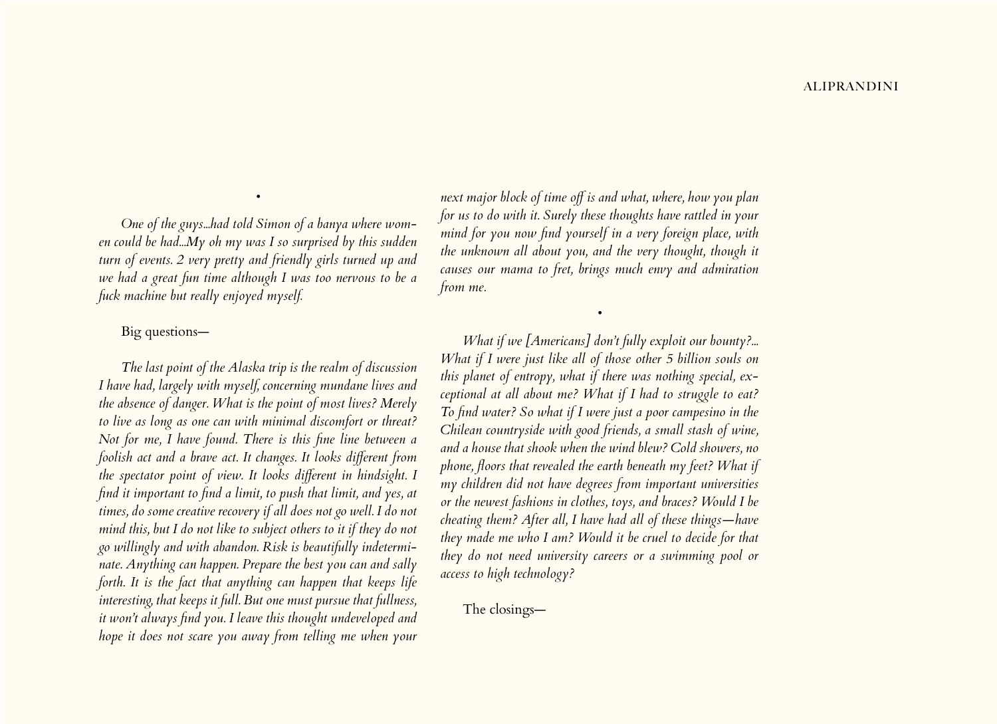*One of the guys...had told Simon of a banya where women could be had...My oh my was I so surprised by this sudden turn of events. 2 very pretty and friendly girls turned up and we had a great fun time although I was too nervous to be a fuck machine but really enjoyed myself.*

*•*

# Big questions—

*The last point of the Alaska trip is the realm of discussion I have had, largely with myself, concerning mundane lives and the absence of danger. What is the point of most lives? Merely to live as long as one can with minimal discomfort or threat? Not for me, I have found. There is this fine line between a foolish act and a brave act. It changes. It looks different from the spectator point of view. It looks different in hindsight. I find it important to find a limit, to push that limit, and yes, at times, do some creative recovery if all does not go well. I do not mind this, but I do not like to subject others to it if they do not go willingly and with abandon. Risk is beautifully indeterminate. Anything can happen. Prepare the best you can and sally forth. It is the fact that anything can happen that keeps life interesting, that keeps it full. But one must pursue that fullness, it won't always find you. I leave this thought undeveloped and hope it does not scare you away from telling me when your* 

*next major block of time off is and what, where, how you plan for us to do with it. Surely these thoughts have rattled in your mind for you now find yourself in a very foreign place, with the unknown all about you, and the very thought, though it causes our mama to fret, brings much envy and admiration from me.*

*•*

*What if we [Americans] don't fully exploit our bounty?... What if I were just like all of those other 5 billion souls on this planet of entropy, what if there was nothing special, exceptional at all about me? What if I had to struggle to eat? To find water? So what if I were just a poor campesino in the Chilean countryside with good friends, a small stash of wine, and a house that shook when the wind blew? Cold showers, no phone, floors that revealed the earth beneath my feet? What if my children did not have degrees from important universities or the newest fashions in clothes, toys, and braces? Would I be cheating them? After all, I have had all of these things—have they made me who I am? Would it be cruel to decide for that they do not need university careers or a swimming pool or access to high technology?*

The closings—